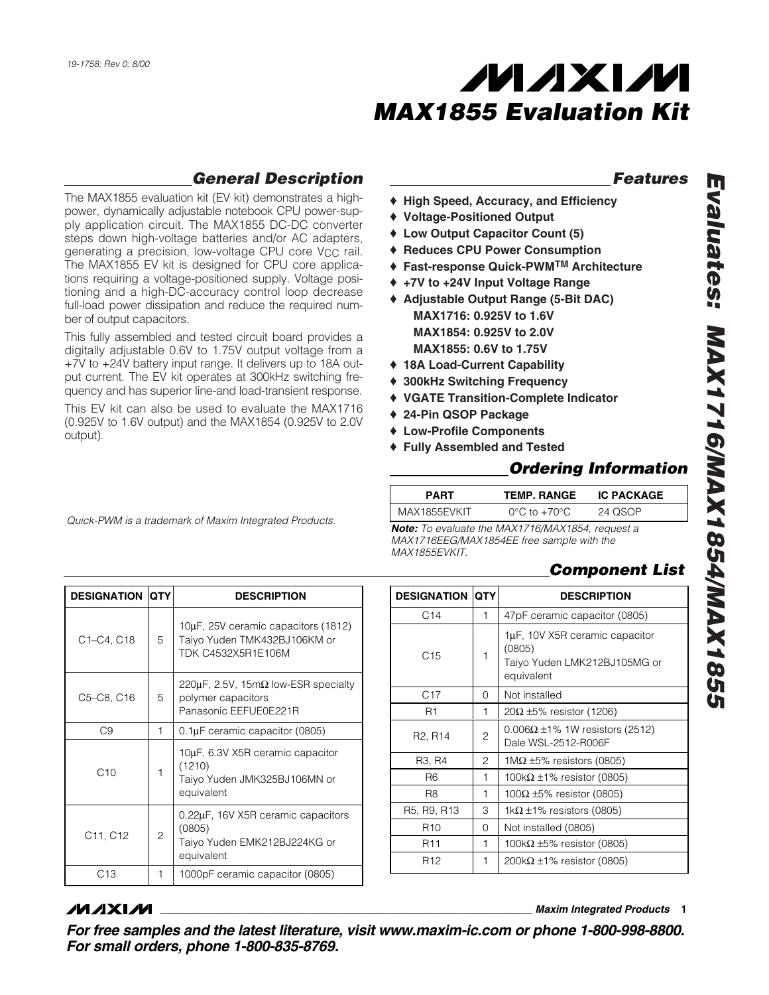

### *General Description*

The MAX1855 evaluation kit (EV kit) demonstrates a highpower, dynamically adjustable notebook CPU power-supply application circuit. The MAX1855 DC-DC converter steps down high-voltage batteries and/or AC adapters, generating a precision, low-voltage CPU core V<sub>CC</sub> rail. The MAX1855 EV kit is designed for CPU core applications requiring a voltage-positioned supply. Voltage positioning and a high-DC-accuracy control loop decrease full-load power dissipation and reduce the required number of output capacitors.

This fully assembled and tested circuit board provides a digitally adjustable 0.6V to 1.75V output voltage from a +7V to +24V battery input range. It delivers up to 18A output current. The EV kit operates at 300kHz switching frequency and has superior line-and load-transient response.

This EV kit can also be used to evaluate the MAX1716 (0.925V to 1.6V output) and the MAX1854 (0.925V to 2.0V output).

*Quick-PWM is a trademark of Maxim Integrated Products.*

*Features*

- ♦ **High Speed, Accuracy, and Efficiency**
- ♦ **Voltage-Positioned Output**
- ♦ **Low Output Capacitor Count (5)**
- ♦ **Reduces CPU Power Consumption**
- ♦ **Fast-response Quick-PWMTM Architecture**
- ♦ **+7V to +24V Input Voltage Range**
- ♦ **Adjustable Output Range (5-Bit DAC) MAX1716: 0.925V to 1.6V MAX1854: 0.925V to 2.0V MAX1855: 0.6V to 1.75V**
- ♦ **18A Load-Current Capability**
- ♦ **300kHz Switching Frequency**
- ♦ **VGATE Transition-Complete Indicator**
- ♦ **24-Pin QSOP Package**
- ♦ **Low-Profile Components**
- ♦ **Fully Assembled and Tested**

### *Ordering Information*

| <b>PART</b>  | <b>TEMP. RANGE</b>               | <b>IC PACKAGE</b> |  |
|--------------|----------------------------------|-------------------|--|
| MAX1855EVKIT | $0^{\circ}$ C to $+70^{\circ}$ C | 24 QSOP           |  |

*Note: To evaluate the MAX1716/MAX1854, request a MAX1716EEG/MAX1854EE free sample with the MAX1855EVKIT.*

### *Component List*

| <b>DESIGNATION</b>                | <b>QTY</b>     | <b>DESCRIPTION</b>                                                                         |
|-----------------------------------|----------------|--------------------------------------------------------------------------------------------|
| C1-C4, C18                        | 5              | 10µF, 25V ceramic capacitors (1812)<br>Taiyo Yuden TMK432BJ106KM or<br>TDK C4532X5R1E106M  |
| C5-C8, C16                        | 5              | 220μF, 2.5V, 15mΩ low-ESR specialty<br>polymer capacitors<br>Panasonic EEFUE0E221R         |
| C <sub>9</sub>                    | 1              | $0.1 \mu$ F ceramic capacitor (0805)                                                       |
| C10                               | 1              | 10µF, 6.3V X5R ceramic capacitor<br>(1210)<br>Taiyo Yuden JMK325BJ106MN or<br>equivalent   |
| C <sub>11</sub> , C <sub>12</sub> | $\overline{c}$ | 0.22µF, 16V X5R ceramic capacitors<br>(0805)<br>Taiyo Yuden EMK212BJ224KG or<br>equivalent |
| C13                               | 1              | 1000pF ceramic capacitor (0805)                                                            |

| <b>DESIGNATION</b>               | <b>QTY</b> | <b>DESCRIPTION</b>                                                                     |  |
|----------------------------------|------------|----------------------------------------------------------------------------------------|--|
| C <sub>14</sub>                  | 1          | 47pF ceramic capacitor (0805)                                                          |  |
| C <sub>15</sub>                  | 1          | 1µF, 10V X5R ceramic capacitor<br>(0805)<br>Taiyo Yuden LMK212BJ105MG or<br>equivalent |  |
| C17                              | 0          | Not installed                                                                          |  |
| R1                               | 1          | $20\Omega \pm 5\%$ resistor (1206)                                                     |  |
| R <sub>2</sub> , R <sub>14</sub> | 2          | $0.006\Omega \pm 1\%$ 1W resistors (2512)<br>Dale WSL-2512-R006F                       |  |
| R3, R4                           | 2          | $1\text{M}\Omega$ ±5% resistors (0805)                                                 |  |
| R <sub>6</sub>                   | 1          | 100k $\Omega$ ±1% resistor (0805)                                                      |  |
| R <sub>8</sub>                   | 1          | 100Ω $\pm$ 5% resistor (0805)                                                          |  |
| R5, R9, R13                      | 3          | 1k $\Omega$ ±1% resistors (0805)                                                       |  |
| R <sub>10</sub>                  | 0          | Not installed (0805)                                                                   |  |
| R <sub>11</sub>                  | 1          | 100k $\Omega$ ±5% resistor (0805)                                                      |  |
| R <sub>12</sub>                  | 1          | 200k $\Omega$ ±1% resistor (0805)                                                      |  |

### *MAXM*

**\_\_\_\_\_\_\_\_\_\_\_\_\_\_\_\_\_\_\_\_\_\_\_\_\_\_\_\_\_\_\_\_\_\_\_\_\_\_\_\_\_\_\_\_\_\_\_\_\_\_\_\_\_\_\_\_\_\_\_\_\_\_\_\_** *Maxim Integrated Products* **1**

*For free samples and the latest literature, visit www.maxim-ic.com or phone 1-800-998-8800. For small orders, phone 1-800-835-8769.*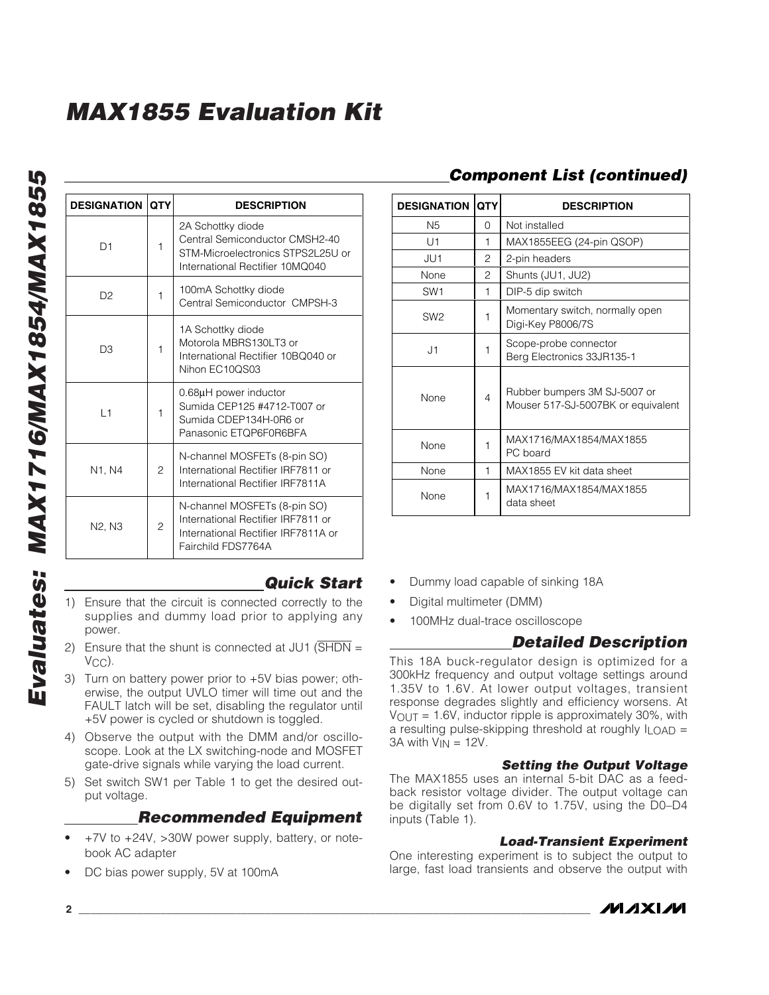| <b>DESIGNATION</b> | <b>QTY</b>     | <b>DESCRIPTION</b>                                                                                                              |  |
|--------------------|----------------|---------------------------------------------------------------------------------------------------------------------------------|--|
| D1                 | 1              | 2A Schottky diode<br>Central Semiconductor CMSH2-40<br>STM-Microelectronics STPS2L25U or<br>International Rectifier 10MQ040     |  |
| D <sub>2</sub>     | 1              | 100mA Schottky diode<br>Central Semiconductor CMPSH-3                                                                           |  |
| D3                 | 1              | 1A Schottky diode<br>Motorola MBRS130LT3 or<br>International Rectifier 10BQ040 or<br>Nihon EC10QS03                             |  |
| L1                 | 1              | 0.68µH power inductor<br>Sumida CEP125 #4712-T007 or<br>Sumida CDEP134H-0R6 or<br>Panasonic ETOP6F0R6BFA                        |  |
| N1, N4             | 2              | N-channel MOSFETs (8-pin SO)<br>International Rectifier IRF7811 or<br>International Rectifier IRF7811A                          |  |
| N2, N3             | $\overline{c}$ | N-channel MOSFETs (8-pin SO)<br>International Rectifier IRF7811 or<br>International Rectifier IRF7811A or<br>Fairchild FDS7764A |  |

### *Quick Start*

- 1) Ensure that the circuit is connected correctly to the supplies and dummy load prior to applying any power.
- 2) Ensure that the shunt is connected at JU1 (SHDN = V<sub>CC</sub>).
- 3) Turn on battery power prior to +5V bias power; otherwise, the output UVLO timer will time out and the FAULT latch will be set, disabling the regulator until +5V power is cycled or shutdown is toggled.
- 4) Observe the output with the DMM and/or oscilloscope. Look at the LX switching-node and MOSFET gate-drive signals while varying the load current.
- 5) Set switch SW1 per Table 1 to get the desired output voltage.

### *Recommended Equipment*

- +7V to +24V, >30W power supply, battery, or notebook AC adapter
- DC bias power supply, 5V at 100mA

### *Component List (continued)*

| <b>DESIGNATION</b> | QTY            | <b>DESCRIPTION</b>                                                 |
|--------------------|----------------|--------------------------------------------------------------------|
| N <sub>5</sub>     | O              | Not installed                                                      |
| U1                 | 1              | MAX1855EEG (24-pin QSOP)                                           |
| JU1                | 2              | 2-pin headers                                                      |
| None               | 2              | Shunts (JU1, JU2)                                                  |
| SW <sub>1</sub>    | 1              | DIP-5 dip switch                                                   |
| SW <sub>2</sub>    | 1              | Momentary switch, normally open<br>Digi-Key P8006/7S               |
| J1                 | 1              | Scope-probe connector<br>Berg Electronics 33JR135-1                |
| None               | $\overline{4}$ | Rubber bumpers 3M SJ-5007 or<br>Mouser 517-SJ-5007BK or equivalent |
| None               | 1              | MAX1716/MAX1854/MAX1855<br>PC board                                |
| None               | 1              | MAX1855 EV kit data sheet                                          |
| None               | 1              | MAX1716/MAX1854/MAX1855<br>data sheet                              |

- Dummy load capable of sinking 18A
- Digital multimeter (DMM)
- 100MHz dual-trace oscilloscope

### *Detailed Description*

This 18A buck-regulator design is optimized for a 300kHz frequency and output voltage settings around 1.35V to 1.6V. At lower output voltages, transient response degrades slightly and efficiency worsens. At  $V_{\text{OUT}} = 1.6V$ , inductor ripple is approximately 30%, with a resulting pulse-skipping threshold at roughly  $I_{\text{LOAD}} =$  $3A$  with  $V_{IN} = 12V$ .

#### *Setting the Output Voltage*

The MAX1855 uses an internal 5-bit DAC as a feedback resistor voltage divider. The output voltage can be digitally set from 0.6V to 1.75V, using the D0–D4 inputs (Table 1).

#### *Load-Transient Experiment*

One interesting experiment is to subject the output to large, fast load transients and observe the output with

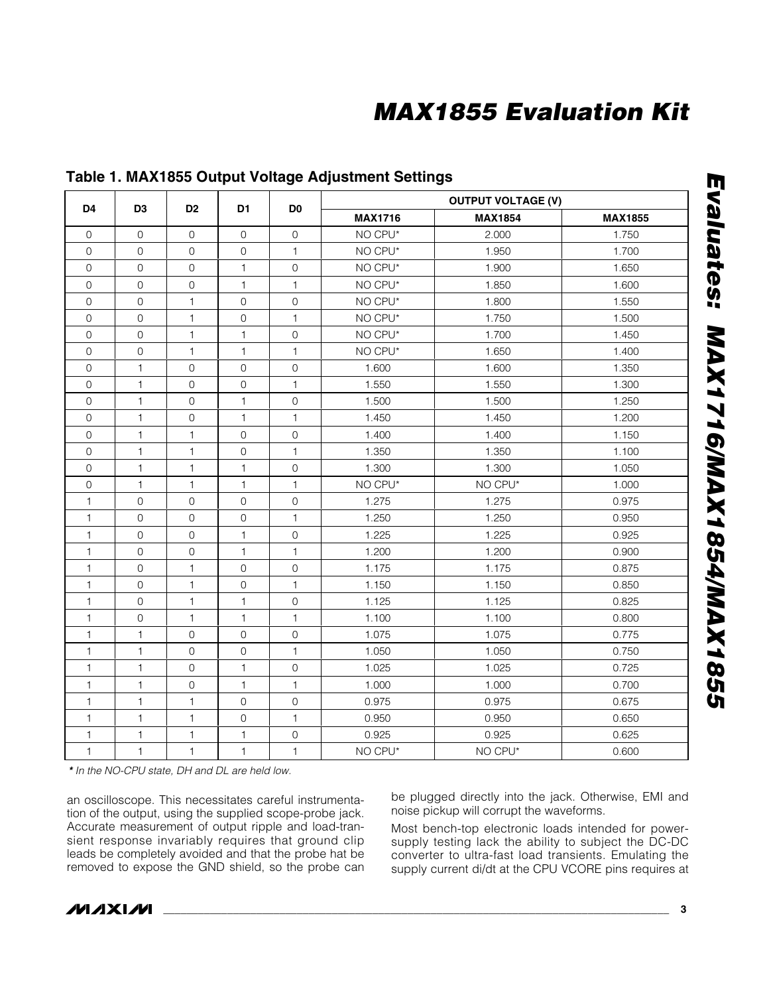|                     |                     |                     |                     | D <sub>0</sub>      |                | <b>OUTPUT VOLTAGE (V)</b> |                |
|---------------------|---------------------|---------------------|---------------------|---------------------|----------------|---------------------------|----------------|
| D <sub>4</sub>      | D <sub>3</sub>      | D <sub>2</sub>      | D <sub>1</sub>      |                     | <b>MAX1716</b> | <b>MAX1854</b>            | <b>MAX1855</b> |
| $\mathbf 0$         | $\mathsf{O}\xspace$ | $\mathsf{O}\xspace$ | $\mathsf{O}\xspace$ | $\mathsf{O}\xspace$ | NO CPU*        | 2.000                     | 1.750          |
| 0                   | $\mathbf{O}$        | $\mathsf{O}\xspace$ | 0                   | 1                   | NO CPU*        | 1.950                     | 1.700          |
| 0                   | $\mathsf{O}\xspace$ | $\mathsf{O}\xspace$ | $\mathbf{1}$        | $\mathbf 0$         | NO CPU*        | 1.900                     | 1.650          |
| $\mathbf 0$         | $\mathsf{O}\xspace$ | $\mathsf{O}\xspace$ | $\mathbf{1}$        | 1                   | NO CPU*        | 1.850                     | 1.600          |
| 0                   | $\mathsf{O}\xspace$ | 1                   | $\mathbf 0$         | $\mathsf{O}\xspace$ | NO CPU*        | 1.800                     | 1.550          |
| $\mathbf 0$         | $\mathsf{O}\xspace$ | 1                   | 0                   | $\mathbf{1}$        | NO CPU*        | 1.750                     | 1.500          |
| 0                   | $\mathsf{O}\xspace$ | 1                   | 1                   | $\mathbf 0$         | NO CPU*        | 1.700                     | 1.450          |
| $\mathsf{O}\xspace$ | $\mathsf{O}\xspace$ | $\mathbf{1}$        | $\mathbf{1}$        | 1                   | NO CPU*        | 1.650                     | 1.400          |
| $\mathsf{O}\xspace$ | 1                   | $\mathsf{O}\xspace$ | $\mathbf 0$         | $\mathbf 0$         | 1.600          | 1.600                     | 1.350          |
| 0                   | 1                   | $\mathsf{O}\xspace$ | 0                   | 1                   | 1.550          | 1.550                     | 1.300          |
| 0                   | 1                   | $\mathsf{O}\xspace$ | $\mathbf{1}$        | $\mathsf{O}\xspace$ | 1.500          | 1.500                     | 1.250          |
| 0                   | 1                   | $\mathsf{O}\xspace$ | 1                   | 1                   | 1.450          | 1.450                     | 1.200          |
| $\mathsf{O}$        | 1                   | $\mathbf{1}$        | $\mathsf{O}$        | $\mathsf{O}\xspace$ | 1.400          | 1.400                     | 1.150          |
| $\mathbf 0$         | 1                   | 1                   | $\mathsf{O}\xspace$ | 1                   | 1.350          | 1.350                     | 1.100          |
| $\mathsf{O}\xspace$ | $\mathbf{1}$        | 1                   | 1                   | $\mathsf{O}\xspace$ | 1.300          | 1.300                     | 1.050          |
| 0                   | 1                   | $\mathbf{1}$        | $\mathbf{1}$        | $\mathbf{1}$        | NO CPU*        | NO CPU*                   | 1.000          |
| 1                   | $\mathbf 0$         | $\mathsf{O}\xspace$ | 0                   | $\mathbf 0$         | 1.275          | 1.275                     | 0.975          |
| 1                   | $\mathsf{O}\xspace$ | $\mathsf{O}\xspace$ | $\mathsf{O}\xspace$ | $\mathbf{1}$        | 1.250          | 1.250                     | 0.950          |
| 1                   | 0                   | $\mathbf 0$         | 1                   | $\mathbf 0$         | 1.225          | 1.225                     | 0.925          |
| 1                   | $\mathbf 0$         | $\mathbf 0$         | 1                   | $\mathbf{1}$        | 1.200          | 1.200                     | 0.900          |
| 1                   | $\mathbf 0$         | 1                   | 0                   | $\mathsf{O}\xspace$ | 1.175          | 1.175                     | 0.875          |
| 1                   | $\mathsf{O}\xspace$ | 1                   | 0                   | 1                   | 1.150          | 1.150                     | 0.850          |
| $\mathbf{1}$        | $\mathsf{O}\xspace$ | $\mathbf{1}$        | $\mathbf{1}$        | $\mathbf 0$         | 1.125          | 1.125                     | 0.825          |
| 1                   | $\mathsf{O}\xspace$ | 1                   | 1                   | 1                   | 1.100          | 1.100                     | 0.800          |
| 1                   | 1                   | $\mathbf 0$         | $\mathbf 0$         | $\mathsf{O}\xspace$ | 1.075          | 1.075                     | 0.775          |
| 1                   | $\mathbf{1}$        | $\mathsf{O}\xspace$ | 0                   | 1                   | 1.050          | 1.050                     | 0.750          |
| 1                   | $\mathbf{1}$        | $\mathsf{O}\xspace$ | $\mathbf{1}$        | $\mathsf{O}\xspace$ | 1.025          | 1.025                     | 0.725          |
| 1                   | 1                   | $\mathsf{O}\xspace$ | $\mathbf{1}$        | 1                   | 1.000          | 1.000                     | 0.700          |
| 1                   | 1                   | 1                   | 0                   | $\mathbf 0$         | 0.975          | 0.975                     | 0.675          |
| 1                   | 1                   | $\mathbf{1}$        | $\mathbf 0$         | 1                   | 0.950          | 0.950                     | 0.650          |
| 1                   | 1                   | 1                   | $\mathbf{1}$        | $\mathbf 0$         | 0.925          | 0.925                     | 0.625          |
| 1                   | 1                   | $\mathbf{1}$        | 1                   | 1                   | NO CPU*        | NO CPU*                   | 0.600          |

### **Table 1. MAX1855 Output Voltage Adjustment Settings**

*\* In the NO-CPU state, DH and DL are held low.*

an oscilloscope. This necessitates careful instrumentation of the output, using the supplied scope-probe jack. Accurate measurement of output ripple and load-transient response invariably requires that ground clip leads be completely avoided and that the probe hat be removed to expose the GND shield, so the probe can

be plugged directly into the jack. Otherwise, EMI and noise pickup will corrupt the waveforms.

Most bench-top electronic loads intended for powersupply testing lack the ability to subject the DC-DC converter to ultra-fast load transients. Emulating the supply current di/dt at the CPU VCORE pins requires at

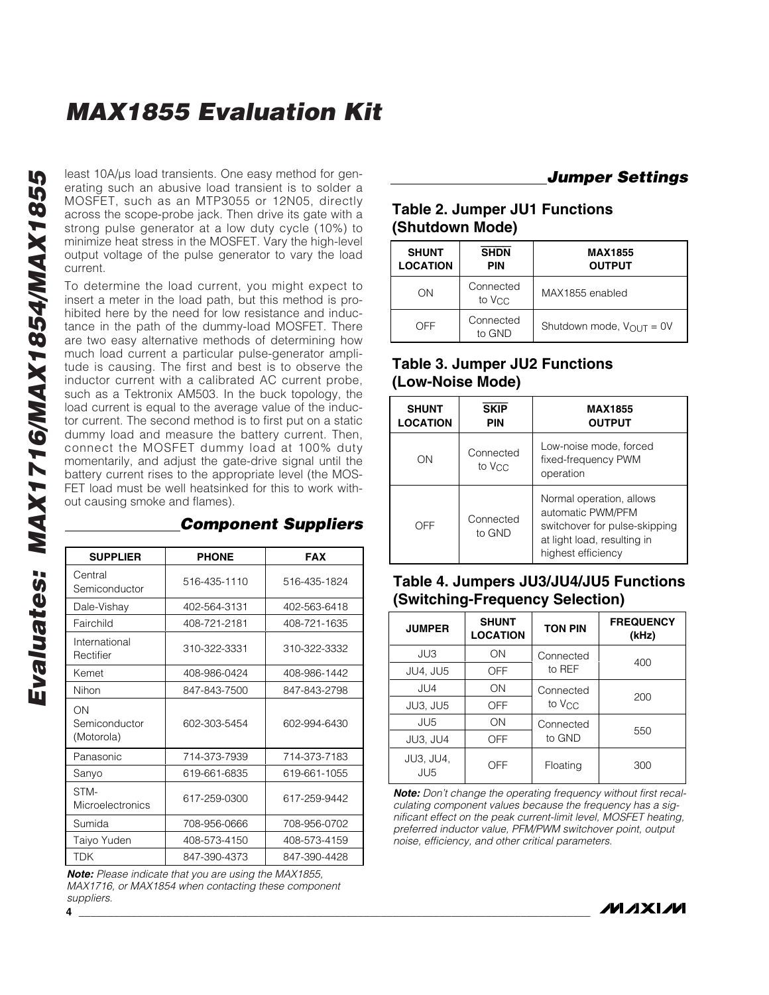least 10A/µs load transients. One easy method for generating such an abusive load transient is to solder a MOSFET, such as an MTP3055 or 12N05, directly across the scope-probe jack. Then drive its gate with a strong pulse generator at a low duty cycle (10%) to minimize heat stress in the MOSFET. Vary the high-level output voltage of the pulse generator to vary the load current.

To determine the load current, you might expect to insert a meter in the load path, but this method is prohibited here by the need for low resistance and inductance in the path of the dummy-load MOSFET. There are two easy alternative methods of determining how much load current a particular pulse-generator amplitude is causing. The first and best is to observe the inductor current with a calibrated AC current probe, such as a Tektronix AM503. In the buck topology, the load current is equal to the average value of the inductor current. The second method is to first put on a static dummy load and measure the battery current. Then, connect the MOSFET dummy load at 100% duty momentarily, and adjust the gate-drive signal until the battery current rises to the appropriate level (the MOS-FET load must be well heatsinked for this to work without causing smoke and flames).

| <b>SUPPLIER</b>                   | <b>PHONE</b> | <b>FAX</b>   |
|-----------------------------------|--------------|--------------|
| Central<br>Semiconductor          | 516-435-1110 | 516-435-1824 |
| Dale-Vishay                       | 402-564-3131 | 402-563-6418 |
| Fairchild                         | 408-721-2181 | 408-721-1635 |
| International<br>Rectifier        | 310-322-3331 | 310-322-3332 |
| Kemet                             | 408-986-0424 | 408-986-1442 |
| Nihon                             | 847-843-7500 | 847-843-2798 |
| ΟN<br>Semiconductor<br>(Motorola) | 602-303-5454 | 602-994-6430 |
| Panasonic                         | 714-373-7939 | 714-373-7183 |
| Sanyo                             | 619-661-6835 | 619-661-1055 |
| STM-<br>Microelectronics          | 617-259-0300 | 617-259-9442 |
| Sumida                            | 708-956-0666 | 708-956-0702 |
| Taiyo Yuden                       | 408-573-4150 | 408-573-4159 |
| <b>TDK</b>                        | 847-390-4373 | 847-390-4428 |

*Component Suppliers*

*Note: Please indicate that you are using the MAX1855, MAX1716, or MAX1854 when contacting these component suppliers.*

### *Jumper Settings*

#### **Table 2. Jumper JU1 Functions (Shutdown Mode)**

| <b>SHUNT</b><br><b>LOCATION</b> | <b>SHDN</b><br><b>PIN</b>       | <b>MAX1855</b><br><b>OUTPUT</b>      |
|---------------------------------|---------------------------------|--------------------------------------|
| ΟN                              | Connected<br>to V <sub>CC</sub> | MAX1855 enabled                      |
| OFF                             | Connected<br>to GND             | Shutdown mode, $V_{\text{OUT}} = 0V$ |

### **Table 3. Jumper JU2 Functions (Low-Noise Mode)**

| <b>SHUNT</b><br><b>LOCATION</b> | <b>SKIP</b><br>PIN              | <b>MAX1855</b><br><b>OUTPUT</b>                                                                                                     |
|---------------------------------|---------------------------------|-------------------------------------------------------------------------------------------------------------------------------------|
| ON                              | Connected<br>to V <sub>CC</sub> | Low-noise mode, forced<br>fixed-frequency PWM<br>operation                                                                          |
| OFF                             | Connected<br>to GND             | Normal operation, allows<br>automatic PWM/PFM<br>switchover for pulse-skipping<br>at light load, resulting in<br>highest efficiency |

### **Table 4. Jumpers JU3/JU4/JU5 Functions (Switching-Frequency Selection)**

| <b>JUMPER</b>                       | <b>SHUNT</b><br><b>LOCATION</b> | <b>TON PIN</b>     | <b>FREQUENCY</b><br>(kHz) |
|-------------------------------------|---------------------------------|--------------------|---------------------------|
| JU3                                 | ON                              | Connected          |                           |
| <b>JU4, JU5</b>                     | OFF                             | to REF             | 400                       |
| JU4                                 | ON                              | Connected          | 200                       |
| JU3, JU5                            | <b>OFF</b>                      | to V <sub>CC</sub> |                           |
| JU5                                 | OΝ                              | Connected          | 550                       |
| JU3, JU4                            | OFF                             | to GND             |                           |
| <b>JU3, JU4,</b><br>JU <sub>5</sub> | OFF                             | Floating           | 300                       |

*Note: Don't change the operating frequency without first recalculating component values because the frequency has a significant effect on the peak current-limit level, MOSFET heating, preferred inductor value, PFM/PWM switchover point, output noise, efficiency, and other critical parameters.*

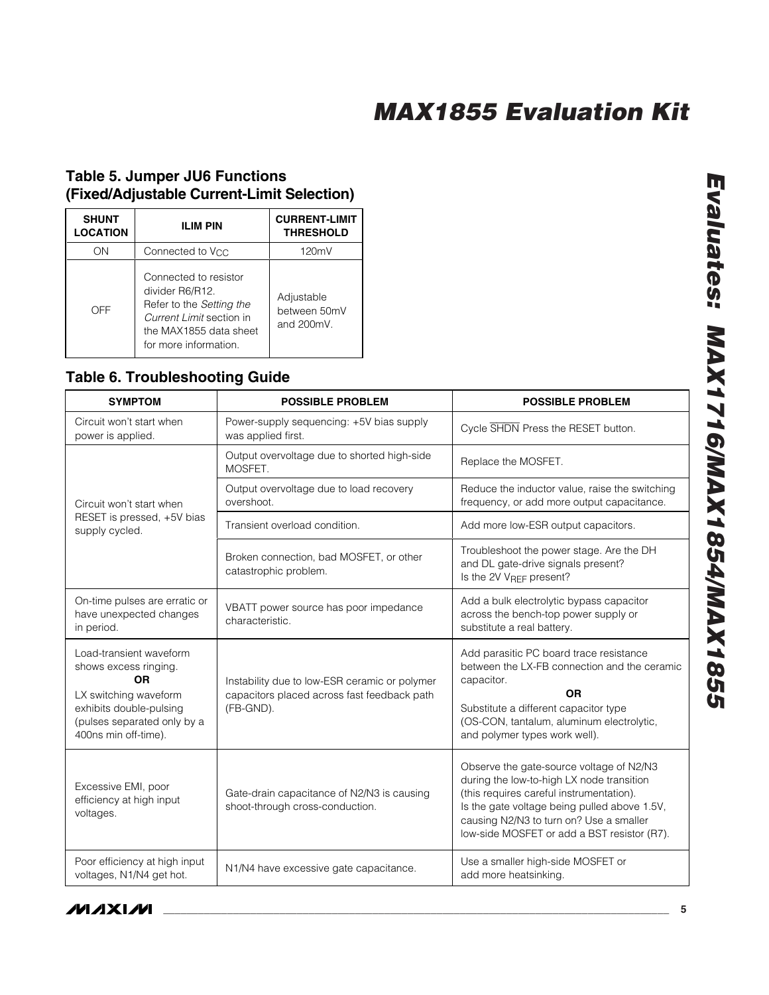### **Table 5. Jumper JU6 Functions (Fixed/Adjustable Current-Limit Selection)**

| <b>SHUNT</b><br><b>LOCATION</b> | <b>ILIM PIN</b>                                                                                                                                     | <b>CURRENT-LIMIT</b><br><b>THRESHOLD</b> |
|---------------------------------|-----------------------------------------------------------------------------------------------------------------------------------------------------|------------------------------------------|
| OΝ                              | Connected to V <sub>CC</sub>                                                                                                                        | 120mV                                    |
| OFF                             | Connected to resistor<br>divider R6/R12.<br>Refer to the Setting the<br>Current Limit section in<br>the MAX1855 data sheet<br>for more information. | Adjustable<br>between 50mV<br>and 200mV. |

### **Table 6. Troubleshooting Guide**

| <b>SYMPTOM</b>                                                                                                                                                           | <b>POSSIBLE PROBLEM</b>                                                                                   | <b>POSSIBLE PROBLEM</b>                                                                                                                                                                                                                                                     |
|--------------------------------------------------------------------------------------------------------------------------------------------------------------------------|-----------------------------------------------------------------------------------------------------------|-----------------------------------------------------------------------------------------------------------------------------------------------------------------------------------------------------------------------------------------------------------------------------|
| Circuit won't start when<br>power is applied.                                                                                                                            | Power-supply sequencing: +5V bias supply<br>was applied first.                                            | Cycle SHDN Press the RESET button.                                                                                                                                                                                                                                          |
|                                                                                                                                                                          | Output overvoltage due to shorted high-side<br>MOSFET.                                                    | Replace the MOSFET.                                                                                                                                                                                                                                                         |
| Circuit won't start when                                                                                                                                                 | Output overvoltage due to load recovery<br>overshoot.                                                     | Reduce the inductor value, raise the switching<br>frequency, or add more output capacitance.                                                                                                                                                                                |
| RESET is pressed, +5V bias<br>supply cycled.                                                                                                                             | Transient overload condition.                                                                             | Add more low-ESR output capacitors.                                                                                                                                                                                                                                         |
|                                                                                                                                                                          | Broken connection, bad MOSFET, or other<br>catastrophic problem.                                          | Troubleshoot the power stage. Are the DH<br>and DL gate-drive signals present?<br>Is the 2V VREF present?                                                                                                                                                                   |
| On-time pulses are erratic or<br>have unexpected changes<br>in period.                                                                                                   | VBATT power source has poor impedance<br>characteristic.                                                  | Add a bulk electrolytic bypass capacitor<br>across the bench-top power supply or<br>substitute a real battery.                                                                                                                                                              |
| Load-transient waveform<br>shows excess ringing.<br><b>OR</b><br>LX switching waveform<br>exhibits double-pulsing<br>(pulses separated only by a<br>400ns min off-time). | Instability due to low-ESR ceramic or polymer<br>capacitors placed across fast feedback path<br>(FB-GND). | Add parasitic PC board trace resistance<br>between the LX-FB connection and the ceramic<br>capacitor.<br><b>OR</b><br>Substitute a different capacitor type<br>(OS-CON, tantalum, aluminum electrolytic,<br>and polymer types work well).                                   |
| Excessive EMI, poor<br>efficiency at high input<br>voltages.                                                                                                             | Gate-drain capacitance of N2/N3 is causing<br>shoot-through cross-conduction.                             | Observe the gate-source voltage of N2/N3<br>during the low-to-high LX node transition<br>(this requires careful instrumentation).<br>Is the gate voltage being pulled above 1.5V,<br>causing N2/N3 to turn on? Use a smaller<br>low-side MOSFET or add a BST resistor (R7). |
| Poor efficiency at high input<br>voltages, N1/N4 get hot.                                                                                                                | N1/N4 have excessive gate capacitance.                                                                    | Use a smaller high-side MOSFET or<br>add more heatsinking.                                                                                                                                                                                                                  |

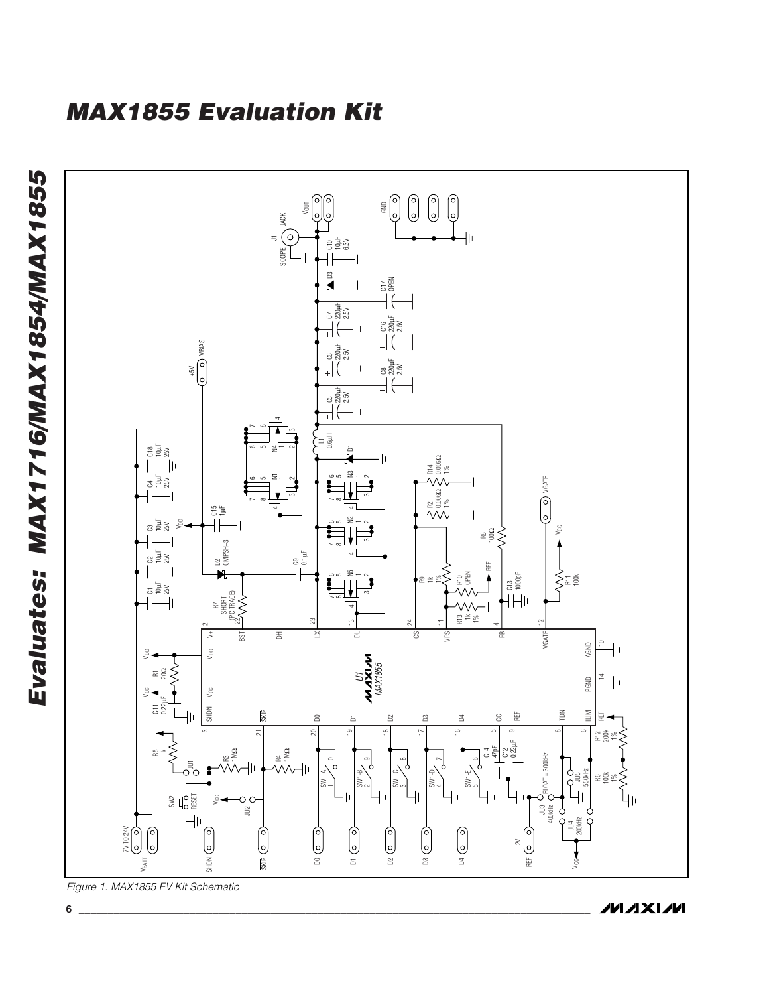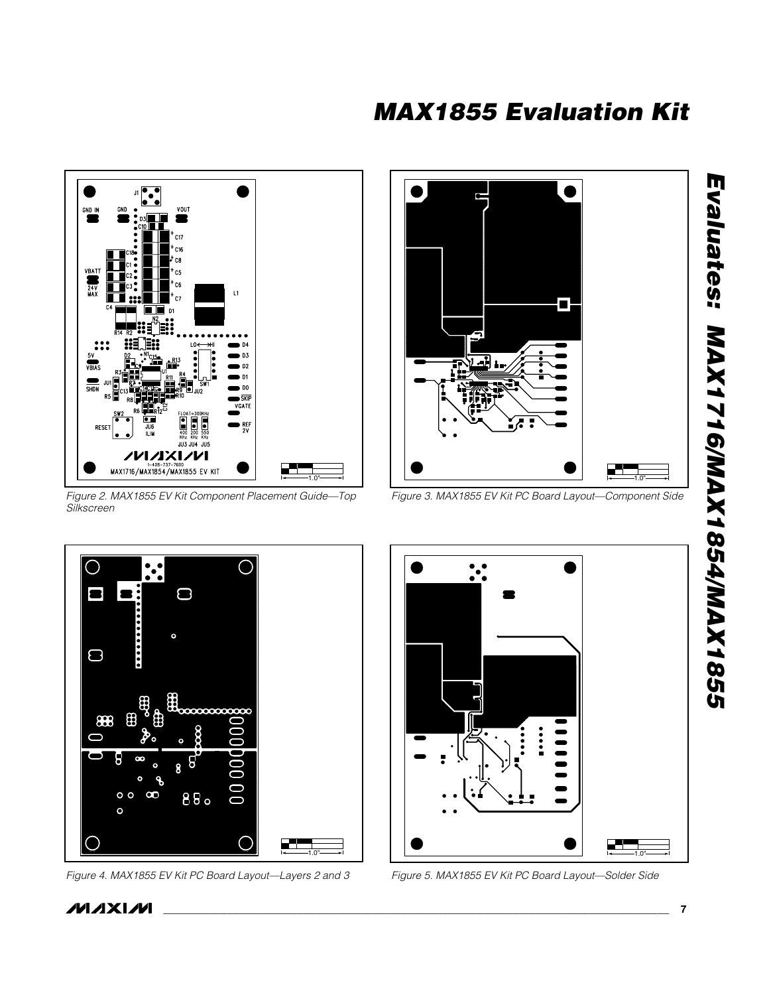

*Figure 2. MAX1855 EV Kit Component Placement Guide—Top Silkscreen*



*Figure 3. MAX1855 EV Kit PC Board Layout—Component Side*



*Figure 4. MAX1855 EV Kit PC Board Layout—Layers 2 and 3 Figure 5. MAX1855 EV Kit PC Board Layout—Solder Side*